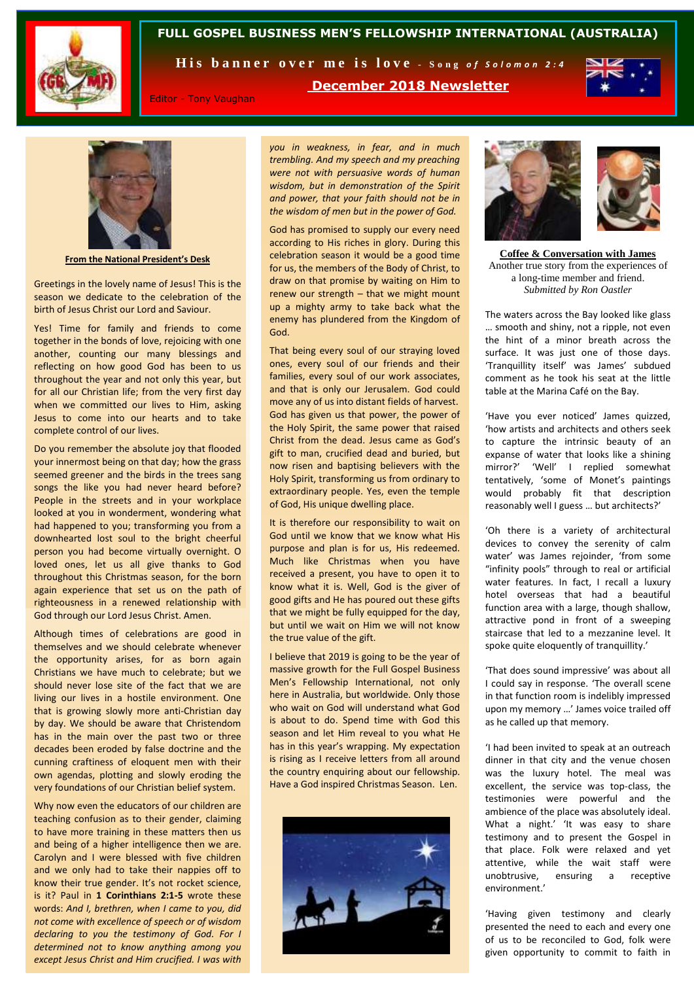

# **FULL GOSPEL BUSINESS MEN'S FELLOWSHIP INTERNATIONAL (AUSTRALIA)**

His banner over me is love - Song of Solomon 2:4

**December 2018 Newsletter**



Editor - Tony Vaughan

*you in weakness, in fear, and in much trembling. And my speech and my preaching were not with persuasive words of human wisdom, but in demonstration of the Spirit and power, that your faith should not be in the wisdom of men but in the power of God.* 

God has promised to supply our every need according to His riches in glory. During this celebration season it would be a good time for us, the members of the Body of Christ, to draw on that promise by waiting on Him to renew our strength – that we might mount up a mighty army to take back what the enemy has plundered from the Kingdom of God.

That being every soul of our straying loved ones, every soul of our friends and their families, every soul of our work associates, and that is only our Jerusalem. God could move any of us into distant fields of harvest. God has given us that power, the power of the Holy Spirit, the same power that raised Christ from the dead. Jesus came as God's gift to man, crucified dead and buried, but now risen and baptising believers with the Holy Spirit, transforming us from ordinary to extraordinary people. Yes, even the temple of God, His unique dwelling place.

It is therefore our responsibility to wait on God until we know that we know what His purpose and plan is for us, His redeemed. Much like Christmas when you have received a present, you have to open it to know what it is. Well, God is the giver of good gifts and He has poured out these gifts that we might be fully equipped for the day, but until we wait on Him we will not know the true value of the gift.

I believe that 2019 is going to be the year of massive growth for the Full Gospel Business Men's Fellowship International, not only here in Australia, but worldwide. Only those who wait on God will understand what God is about to do. Spend time with God this season and let Him reveal to you what He has in this year's wrapping. My expectation is rising as I receive letters from all around the country enquiring about our fellowship. Have a God inspired Christmas Season. Len.





**Coffee & Conversation with James** Another true story from the experiences of a long-time member and friend. *Submitted by Ron Oastler*

The waters across the Bay looked like glass … smooth and shiny, not a ripple, not even the hint of a minor breath across the surface. It was just one of those days. 'Tranquillity itself' was James' subdued comment as he took his seat at the little table at the Marina Café on the Bay.

'Have you ever noticed' James quizzed, 'how artists and architects and others seek to capture the intrinsic beauty of an expanse of water that looks like a shining mirror?' 'Well' I replied somewhat tentatively, 'some of Monet's paintings would probably fit that description reasonably well I guess … but architects?'

'Oh there is a variety of architectural devices to convey the serenity of calm water' was James rejoinder. 'from some "infinity pools" through to real or artificial water features. In fact, I recall a luxury hotel overseas that had a beautiful function area with a large, though shallow, attractive pond in front of a sweeping staircase that led to a mezzanine level. It spoke quite eloquently of tranquillity.'

'That does sound impressive' was about all I could say in response. 'The overall scene in that function room is indelibly impressed upon my memory …' James voice trailed off as he called up that memory.

'I had been invited to speak at an outreach dinner in that city and the venue chosen was the luxury hotel. The meal was excellent, the service was top-class, the testimonies were powerful and the ambience of the place was absolutely ideal. What a night.' 'It was easy to share testimony and to present the Gospel in that place. Folk were relaxed and yet attentive, while the wait staff were unobtrusive, ensuring a receptive environment.'

'Having given testimony and clearly presented the need to each and every one of us to be reconciled to God, folk were given opportunity to commit to faith in



**From the National President's Desk**

Greetings in the lovely name of Jesus! This is the season we dedicate to the celebration of the birth of Jesus Christ our Lord and Saviour.

Yes! Time for family and friends to come together in the bonds of love, rejoicing with one another, counting our many blessings and reflecting on how good God has been to us throughout the year and not only this year, but for all our Christian life; from the very first day when we committed our lives to Him, asking Jesus to come into our hearts and to take complete control of our lives.

Do you remember the absolute joy that flooded your innermost being on that day; how the grass seemed greener and the birds in the trees sang songs the like you had never heard before? People in the streets and in your workplace looked at you in wonderment, wondering what had happened to you; transforming you from a downhearted lost soul to the bright cheerful person you had become virtually overnight. O loved ones, let us all give thanks to God throughout this Christmas season, for the born again experience that set us on the path of righteousness in a renewed relationship with God through our Lord Jesus Christ. Amen.

Although times of celebrations are good in themselves and we should celebrate whenever the opportunity arises, for as born again Christians we have much to celebrate; but we should never lose site of the fact that we are living our lives in a hostile environment. One that is growing slowly more anti-Christian day by day. We should be aware that Christendom has in the main over the past two or three decades been eroded by false doctrine and the cunning craftiness of eloquent men with their own agendas, plotting and slowly eroding the very foundations of our Christian belief system.

Why now even the educators of our children are teaching confusion as to their gender, claiming to have more training in these matters then us and being of a higher intelligence then we are. Carolyn and I were blessed with five children and we only had to take their nappies off to know their true gender. It's not rocket science, is it? Paul in **1 Corinthians 2:1-5** wrote these words: *And I, brethren, when I came to you, did not come with excellence of speech or of wisdom declaring to you the testimony of God. For I determined not to know anything among you except Jesus Christ and Him crucified. I was with*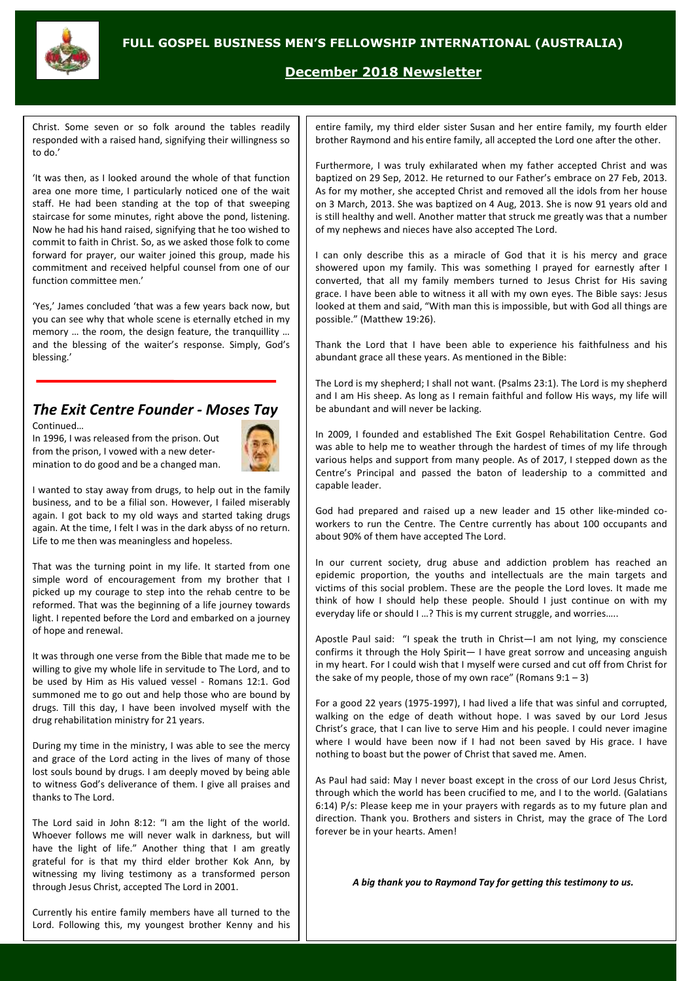

# **December 2018 Newsletter**

Christ. Some seven or so folk around the tables readily responded with a raised hand, signifying their willingness so to do.'

'It was then, as I looked around the whole of that function area one more time, I particularly noticed one of the wait staff. He had been standing at the top of that sweeping staircase for some minutes, right above the pond, listening. Now he had his hand raised, signifying that he too wished to commit to faith in Christ. So, as we asked those folk to come forward for prayer, our waiter joined this group, made his commitment and received helpful counsel from one of our function committee men.'

'Yes,' James concluded 'that was a few years back now, but you can see why that whole scene is eternally etched in my memory … the room, the design feature, the tranquillity … and the blessing of the waiter's response. Simply, God's blessing.'

# *The Exit Centre Founder - Moses Tay*

Continued… In 1996, I was released from the prison. Out from the prison, I vowed with a new determination to do good and be a changed man.



I wanted to stay away from drugs, to help out in the family business, and to be a filial son. However, I failed miserably again. I got back to my old ways and started taking drugs again. At the time, I felt I was in the dark abyss of no return. Life to me then was meaningless and hopeless.

That was the turning point in my life. It started from one simple word of encouragement from my brother that I picked up my courage to step into the rehab centre to be reformed. That was the beginning of a life journey towards light. I repented before the Lord and embarked on a journey of hope and renewal.

It was through one verse from the Bible that made me to be willing to give my whole life in servitude to The Lord, and to be used by Him as His valued vessel - Romans 12:1. God summoned me to go out and help those who are bound by drugs. Till this day, I have been involved myself with the drug rehabilitation ministry for 21 years.

During my time in the ministry, I was able to see the mercy and grace of the Lord acting in the lives of many of those lost souls bound by drugs. I am deeply moved by being able to witness God's deliverance of them. I give all praises and thanks to The Lord.

The Lord said in John 8:12: "I am the light of the world. Whoever follows me will never walk in darkness, but will have the light of life." Another thing that I am greatly grateful for is that my third elder brother Kok Ann, by witnessing my living testimony as a transformed person through Jesus Christ, accepted The Lord in 2001.

Currently his entire family members have all turned to the Lord. Following this, my youngest brother Kenny and his entire family, my third elder sister Susan and her entire family, my fourth elder brother Raymond and his entire family, all accepted the Lord one after the other.

Furthermore, I was truly exhilarated when my father accepted Christ and was baptized on 29 Sep, 2012. He returned to our Father's embrace on 27 Feb, 2013. As for my mother, she accepted Christ and removed all the idols from her house on 3 March, 2013. She was baptized on 4 Aug, 2013. She is now 91 years old and is still healthy and well. Another matter that struck me greatly was that a number of my nephews and nieces have also accepted The Lord.

I can only describe this as a miracle of God that it is his mercy and grace showered upon my family. This was something I prayed for earnestly after I converted, that all my family members turned to Jesus Christ for His saving grace. I have been able to witness it all with my own eyes. The Bible says: Jesus looked at them and said, "With man this is impossible, but with God all things are possible." (Matthew 19:26).

Thank the Lord that I have been able to experience his faithfulness and his abundant grace all these years. As mentioned in the Bible:

The Lord is my shepherd; I shall not want. (Psalms 23:1). The Lord is my shepherd and I am His sheep. As long as I remain faithful and follow His ways, my life will be abundant and will never be lacking.

In 2009, I founded and established The Exit Gospel Rehabilitation Centre. God was able to help me to weather through the hardest of times of my life through various helps and support from many people. As of 2017, I stepped down as the Centre's Principal and passed the baton of leadership to a committed and capable leader.

God had prepared and raised up a new leader and 15 other like-minded coworkers to run the Centre. The Centre currently has about 100 occupants and about 90% of them have accepted The Lord.

In our current society, drug abuse and addiction problem has reached an epidemic proportion, the youths and intellectuals are the main targets and victims of this social problem. These are the people the Lord loves. It made me think of how I should help these people. Should I just continue on with my everyday life or should I …? This is my current struggle, and worries…..

Apostle Paul said: "I speak the truth in Christ—I am not lying, my conscience confirms it through the Holy Spirit— I have great sorrow and unceasing anguish in my heart. For I could wish that I myself were cursed and cut off from Christ for the sake of my people, those of my own race" (Romans  $9:1-3$ )

For a good 22 years (1975-1997), I had lived a life that was sinful and corrupted, walking on the edge of death without hope. I was saved by our Lord Jesus Christ's grace, that I can live to serve Him and his people. I could never imagine where I would have been now if I had not been saved by His grace. I have nothing to boast but the power of Christ that saved me. Amen.

As Paul had said: May I never boast except in the cross of our Lord Jesus Christ, through which the world has been crucified to me, and I to the world. (Galatians 6:14) P/s: Please keep me in your prayers with regards as to my future plan and direction. Thank you. Brothers and sisters in Christ, may the grace of The Lord forever be in your hearts. Amen!

*A big thank you to Raymond Tay for getting this testimony to us.*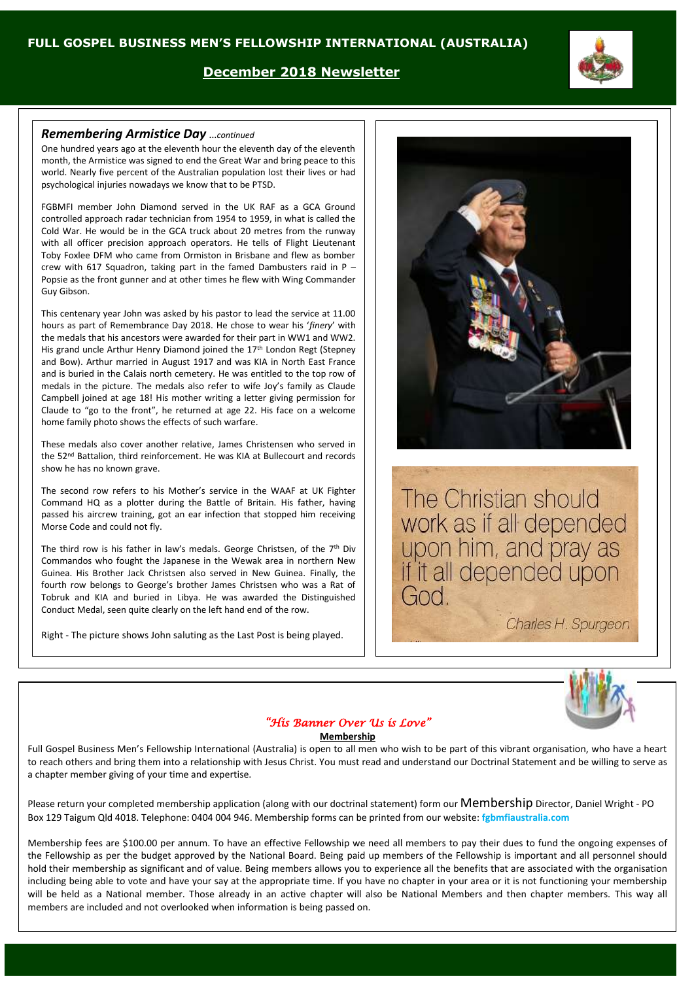## **December 2018 Newsletter**

#### *Remembering Armistice Day* …*continued*

One hundred years ago at the eleventh hour the eleventh day of the eleventh month, the Armistice was signed to end the Great War and bring peace to this world. Nearly five percent of the Australian population lost their lives or had psychological injuries nowadays we know that to be PTSD.

FGBMFI member John Diamond served in the UK RAF as a GCA Ground controlled approach radar technician from 1954 to 1959, in what is called the Cold War. He would be in the GCA truck about 20 metres from the runway with all officer precision approach operators. He tells of Flight Lieutenant Toby Foxlee DFM who came from Ormiston in Brisbane and flew as bomber crew with 617 Squadron, taking part in the famed Dambusters raid in P – Popsie as the front gunner and at other times he flew with Wing Commander Guy Gibson.

This centenary year John was asked by his pastor to lead the service at 11.00 hours as part of Remembrance Day 2018. He chose to wear his '*finery*' with the medals that his ancestors were awarded for their part in WW1 and WW2. His grand uncle Arthur Henry Diamond joined the 17th London Regt (Stepney and Bow). Arthur married in August 1917 and was KIA in North East France and is buried in the Calais north cemetery. He was entitled to the top row of medals in the picture. The medals also refer to wife Joy's family as Claude Campbell joined at age 18! His mother writing a letter giving permission for Claude to "go to the front", he returned at age 22. His face on a welcome home family photo shows the effects of such warfare.

These medals also cover another relative, James Christensen who served in the 52nd Battalion, third reinforcement. He was KIA at Bullecourt and records show he has no known grave.

The second row refers to his Mother's service in the WAAF at UK Fighter Command HQ as a plotter during the Battle of Britain. His father, having passed his aircrew training, got an ear infection that stopped him receiving Morse Code and could not fly.

The third row is his father in law's medals. George Christsen, of the  $7<sup>th</sup>$  Div Commandos who fought the Japanese in the Wewak area in northern New Guinea. His Brother Jack Christsen also served in New Guinea. Finally, the fourth row belongs to George's brother James Christsen who was a Rat of Tobruk and KIA and buried in Libya. He was awarded the Distinguished Conduct Medal, seen quite clearly on the left hand end of the row.

Right - The picture shows John saluting as the Last Post is being played.



The Christian should work as if all depended upon him, and pray as<br>if it all depended upon God.

Charles H. Spurgeon



## *"His Banner Over Us is Love"*

#### **Membership**

Full Gospel Business Men's Fellowship International (Australia) is open to all men who wish to be part of this vibrant organisation, who have a heart to reach others and bring them into a relationship with Jesus Christ. You must read and understand our Doctrinal Statement and be willing to serve as a chapter member giving of your time and expertise.

Please return your completed membership application (along with our doctrinal statement) form our Membership Director, Daniel Wright - PO Box 129 Taigum Qld 4018. Telephone: 0404 004 946. Membership forms can be printed from our website: **fgbmfiaustralia.com**

Membership fees are \$100.00 per annum. To have an effective Fellowship we need all members to pay their dues to fund the ongoing expenses of the Fellowship as per the budget approved by the National Board. Being paid up members of the Fellowship is important and all personnel should hold their membership as significant and of value. Being members allows you to experience all the benefits that are associated with the organisation including being able to vote and have your say at the appropriate time. If you have no chapter in your area or it is not functioning your membership will be held as a National member. Those already in an active chapter will also be National Members and then chapter members. This way all members are included and not overlooked when information is being passed on.